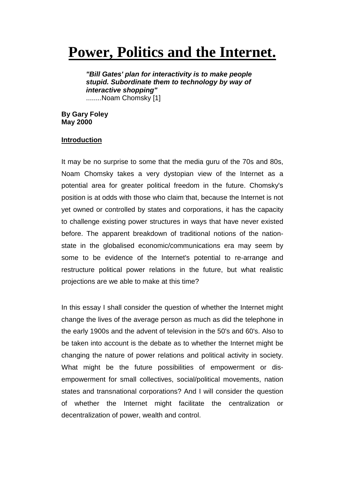# **Power, Politics and the Internet.**

*"Bill Gates' plan for interactivity is to make people stupid. Subordinate them to technology by way of interactive shopping"* ........Noam Chomsky [1]

**By Gary Foley May 2000**

# **Introduction**

It may be no surprise to some that the media guru of the 70s and 80s, Noam Chomsky takes a very dystopian view of the Internet as a potential area for greater political freedom in the future. Chomsky's position is at odds with those who claim that, because the Internet is not yet owned or controlled by states and corporations, it has the capacity to challenge existing power structures in ways that have never existed before. The apparent breakdown of traditional notions of the nationstate in the globalised economic/communications era may seem by some to be evidence of the Internet's potential to re-arrange and restructure political power relations in the future, but what realistic projections are we able to make at this time?

In this essay I shall consider the question of whether the Internet might change the lives of the average person as much as did the telephone in the early 1900s and the advent of television in the 50's and 60's. Also to be taken into account is the debate as to whether the Internet might be changing the nature of power relations and political activity in society. What might be the future possibilities of empowerment or disempowerment for small collectives, social/political movements, nation states and transnational corporations? And I will consider the question of whether the Internet might facilitate the centralization or decentralization of power, wealth and control.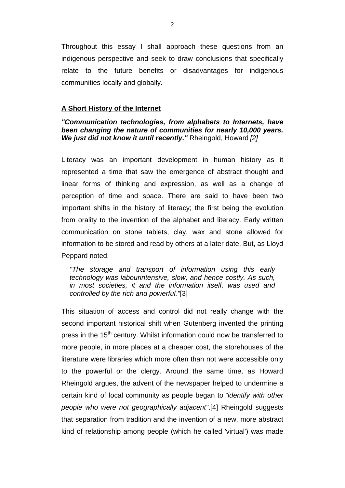Throughout this essay I shall approach these questions from an indigenous perspective and seek to draw conclusions that specifically relate to the future benefits or disadvantages for indigenous communities locally and globally.

## **A Short History of the Internet**

## *"Communication technologies, from alphabets to Internets, have been changing the nature of communities for nearly 10,000 years. We just did not know it until recently."* Rheingold, Howard *[2]*

Literacy was an important development in human history as it represented a time that saw the emergence of abstract thought and linear forms of thinking and expression, as well as a change of perception of time and space. There are said to have been two important shifts in the history of literacy; the first being the evolution from orality to the invention of the alphabet and literacy. Early written communication on stone tablets, clay, wax and stone allowed for information to be stored and read by others at a later date. But, as Lloyd Peppard noted,

*"The storage and transport of information using this early technology was labourintensive, slow, and hence costly. As such, in most societies, it and the information itself, was used and controlled by the rich and powerful."*[3]

This situation of access and control did not really change with the second important historical shift when Gutenberg invented the printing press in the 15<sup>th</sup> century. Whilst information could now be transferred to more people, in more places at a cheaper cost, the storehouses of the literature were libraries which more often than not were accessible only to the powerful or the clergy. Around the same time, as Howard Rheingold argues, the advent of the newspaper helped to undermine a certain kind of local community as people began to *"identify with other people who were not geographically adjacent"*.[4] Rheingold suggests that separation from tradition and the invention of a new, more abstract kind of relationship among people (which he called 'virtual') was made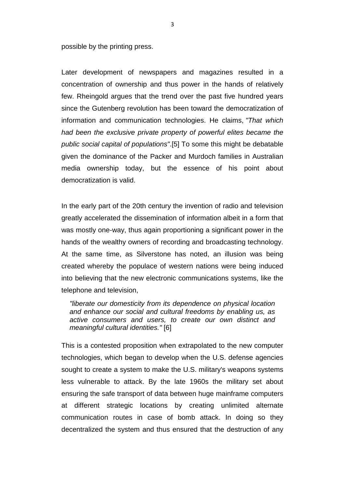possible by the printing press.

Later development of newspapers and magazines resulted in a concentration of ownership and thus power in the hands of relatively few. Rheingold argues that the trend over the past five hundred years since the Gutenberg revolution has been toward the democratization of information and communication technologies. He claims, *"That which had been the exclusive private property of powerful elites became the public social capital of populations"*.[5] To some this might be debatable given the dominance of the Packer and Murdoch families in Australian media ownership today, but the essence of his point about democratization is valid.

In the early part of the 20th century the invention of radio and television greatly accelerated the dissemination of information albeit in a form that was mostly one-way, thus again proportioning a significant power in the hands of the wealthy owners of recording and broadcasting technology. At the same time, as Silverstone has noted, an illusion was being created whereby the populace of western nations were being induced into believing that the new electronic communications systems, like the telephone and television,

*"liberate our domesticity from its dependence on physical location and enhance our social and cultural freedoms by enabling us, as active consumers and users, to create our own distinct and meaningful cultural identities."* [6]

This is a contested proposition when extrapolated to the new computer technologies, which began to develop when the U.S. defense agencies sought to create a system to make the U.S. military's weapons systems less vulnerable to attack. By the late 1960s the military set about ensuring the safe transport of data between huge mainframe computers at different strategic locations by creating unlimited alternate communication routes in case of bomb attack. In doing so they decentralized the system and thus ensured that the destruction of any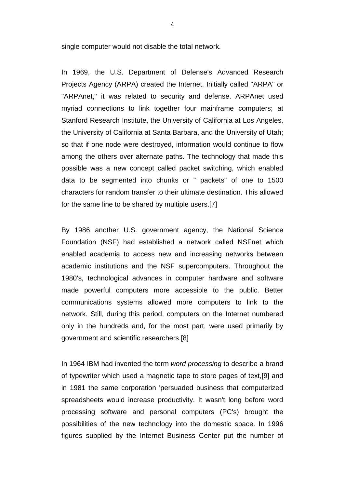single computer would not disable the total network.

In 1969, the U.S. Department of Defense's Advanced Research Projects Agency (ARPA) created the Internet. Initially called "ARPA" or "ARPAnet," it was related to security and defense. ARPAnet used myriad connections to link together four mainframe computers; at Stanford Research Institute, the University of California at Los Angeles, the University of California at Santa Barbara, and the University of Utah; so that if one node were destroyed, information would continue to flow among the others over alternate paths. The technology that made this possible was a new concept called packet switching, which enabled data to be segmented into chunks or " packets" of one to 1500 characters for random transfer to their ultimate destination. This allowed for the same line to be shared by multiple users.[7]

By 1986 another U.S. government agency, the National Science Foundation (NSF) had established a network called NSFnet which enabled academia to access new and increasing networks between academic institutions and the NSF supercomputers. Throughout the 1980's, technological advances in computer hardware and software made powerful computers more accessible to the public. Better communications systems allowed more computers to link to the network. Still, during this period, computers on the Internet numbered only in the hundreds and, for the most part, were used primarily by government and scientific researchers.[8]

In 1964 IBM had invented the term *word processing* to describe a brand of typewriter which used a magnetic tape to store pages of text,[9] and in 1981 the same corporation 'persuaded business that computerized spreadsheets would increase productivity. It wasn't long before word processing software and personal computers (PC's) brought the possibilities of the new technology into the domestic space. In 1996 figures supplied by the Internet Business Center put the number of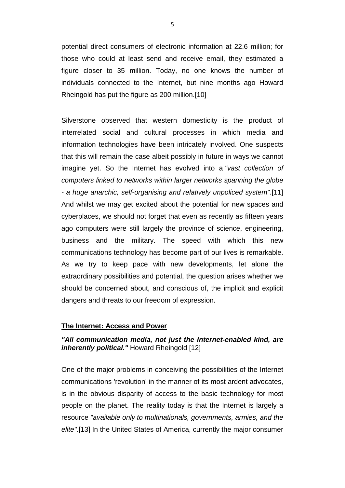potential direct consumers of electronic information at 22.6 million; for those who could at least send and receive email, they estimated a figure closer to 35 million. Today, no one knows the number of individuals connected to the Internet, but nine months ago Howard Rheingold has put the figure as 200 million.[10]

Silverstone observed that western domesticity is the product of interrelated social and cultural processes in which media and information technologies have been intricately involved. One suspects that this will remain the case albeit possibly in future in ways we cannot imagine yet. So the Internet has evolved into a *"vast collection of computers linked to networks within larger networks spanning the globe - a huge anarchic, self-organising and relatively unpoliced system"*.[11] And whilst we may get excited about the potential for new spaces and cyberplaces, we should not forget that even as recently as fifteen years ago computers were still largely the province of science, engineering, business and the military. The speed with which this new communications technology has become part of our lives is remarkable. As we try to keep pace with new developments, let alone the extraordinary possibilities and potential, the question arises whether we should be concerned about, and conscious of, the implicit and explicit dangers and threats to our freedom of expression.

#### **The Internet: Access and Power**

# *"All communication media, not just the Internet-enabled kind, are inherently political."* Howard Rheingold [12]

One of the major problems in conceiving the possibilities of the Internet communications 'revolution' in the manner of its most ardent advocates, is in the obvious disparity of access to the basic technology for most people on the planet. The reality today is that the Internet is largely a resource *"available only to multinationals, governments, armies, and the elite"*.[13] In the United States of America, currently the major consumer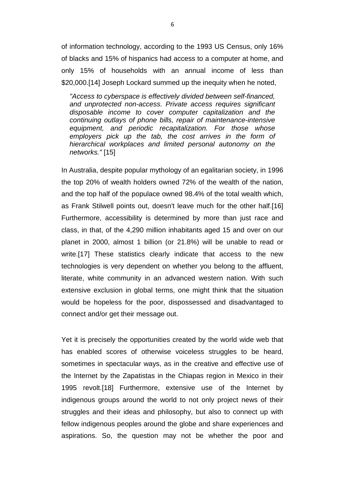of information technology, according to the 1993 US Census, only 16% of blacks and 15% of hispanics had access to a computer at home, and only 15% of households with an annual income of less than \$20,000.[14] Joseph Lockard summed up the inequity when he noted,

*"Access to cyberspace is effectively divided between self-financed, and unprotected non-access. Private access requires significant disposable income to cover computer capitalization and the continuing outlays of phone bills, repair of maintenance-intensive equipment, and periodic recapitalization. For those whose employers pick up the tab, the cost arrives in the form of hierarchical workplaces and limited personal autonomy on the networks."* [15]

In Australia, despite popular mythology of an egalitarian society, in 1996 the top 20% of wealth holders owned 72% of the wealth of the nation, and the top half of the populace owned 98.4% of the total wealth which, as Frank Stilwell points out, doesn't leave much for the other half.[16] Furthermore, accessibility is determined by more than just race and class, in that, of the 4,290 million inhabitants aged 15 and over on our planet in 2000, almost 1 billion (or 21.8%) will be unable to read or write.[17] These statistics clearly indicate that access to the new technologies is very dependent on whether you belong to the affluent, literate, white community in an advanced western nation. With such extensive exclusion in global terms, one might think that the situation would be hopeless for the poor, dispossessed and disadvantaged to connect and/or get their message out.

Yet it is precisely the opportunities created by the world wide web that has enabled scores of otherwise voiceless struggles to be heard, sometimes in spectacular ways, as in the creative and effective use of the Internet by the Zapatistas in the Chiapas region in Mexico in their 1995 revolt.[18] Furthermore, extensive use of the Internet by indigenous groups around the world to not only project news of their struggles and their ideas and philosophy, but also to connect up with fellow indigenous peoples around the globe and share experiences and aspirations. So, the question may not be whether the poor and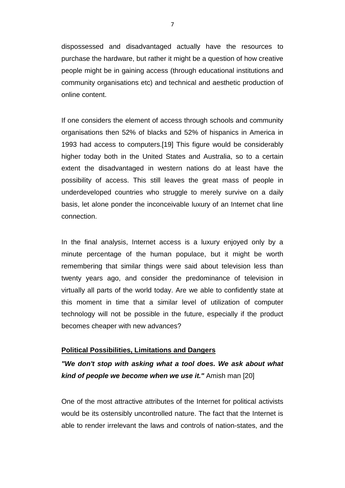dispossessed and disadvantaged actually have the resources to purchase the hardware, but rather it might be a question of how creative people might be in gaining access (through educational institutions and community organisations etc) and technical and aesthetic production of online content.

If one considers the element of access through schools and community organisations then 52% of blacks and 52% of hispanics in America in 1993 had access to computers.[19] This figure would be considerably higher today both in the United States and Australia, so to a certain extent the disadvantaged in western nations do at least have the possibility of access. This still leaves the great mass of people in underdeveloped countries who struggle to merely survive on a daily basis, let alone ponder the inconceivable luxury of an Internet chat line connection.

In the final analysis, Internet access is a luxury enjoyed only by a minute percentage of the human populace, but it might be worth remembering that similar things were said about television less than twenty years ago, and consider the predominance of television in virtually all parts of the world today. Are we able to confidently state at this moment in time that a similar level of utilization of computer technology will not be possible in the future, especially if the product becomes cheaper with new advances?

#### **Political Possibilities, Limitations and Dangers**

*"We don't stop with asking what a tool does. We ask about what kind of people we become when we use it."* Amish man [20]

One of the most attractive attributes of the Internet for political activists would be its ostensibly uncontrolled nature. The fact that the Internet is able to render irrelevant the laws and controls of nation-states, and the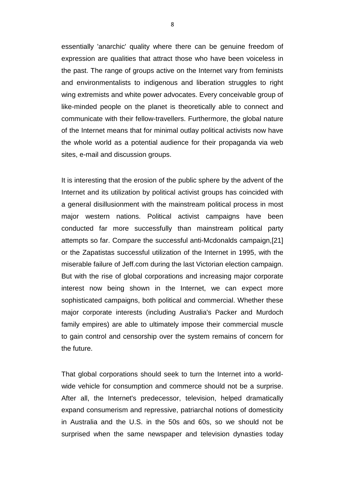essentially 'anarchic' quality where there can be genuine freedom of expression are qualities that attract those who have been voiceless in the past. The range of groups active on the Internet vary from feminists and environmentalists to indigenous and liberation struggles to right wing extremists and white power advocates. Every conceivable group of like-minded people on the planet is theoretically able to connect and communicate with their fellow-travellers. Furthermore, the global nature of the Internet means that for minimal outlay political activists now have the whole world as a potential audience for their propaganda via web sites, e-mail and discussion groups.

It is interesting that the erosion of the public sphere by the advent of the Internet and its utilization by political activist groups has coincided with a general disillusionment with the mainstream political process in most major western nations. Political activist campaigns have been conducted far more successfully than mainstream political party attempts so far. Compare the successful anti-Mcdonalds campaign,[21] or the Zapatistas successful utilization of the Internet in 1995, with the miserable failure of Jeff.com during the last Victorian election campaign. But with the rise of global corporations and increasing major corporate interest now being shown in the Internet, we can expect more sophisticated campaigns, both political and commercial. Whether these major corporate interests (including Australia's Packer and Murdoch family empires) are able to ultimately impose their commercial muscle to gain control and censorship over the system remains of concern for the future.

That global corporations should seek to turn the Internet into a worldwide vehicle for consumption and commerce should not be a surprise. After all, the Internet's predecessor, television, helped dramatically expand consumerism and repressive, patriarchal notions of domesticity in Australia and the U.S. in the 50s and 60s, so we should not be surprised when the same newspaper and television dynasties today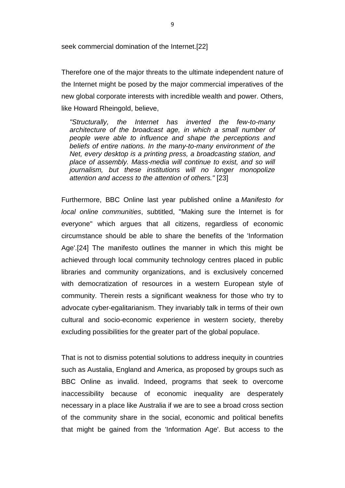seek commercial domination of the Internet.[22]

Therefore one of the major threats to the ultimate independent nature of the Internet might be posed by the major commercial imperatives of the new global corporate interests with incredible wealth and power. Others, like Howard Rheingold, believe,

*"Structurally, the Internet has inverted the few-to-many architecture of the broadcast age, in which a small number of people were able to influence and shape the perceptions and beliefs of entire nations. In the many-to-many environment of the Net, every desktop is a printing press, a broadcasting station, and place of assembly. Mass-media will continue to exist, and so will journalism, but these institutions will no longer monopolize attention and access to the attention of others."* [23]

Furthermore, BBC Online last year published online a *Manifesto for local online communities*, subtitled, "Making sure the Internet is for everyone" which argues that all citizens, regardless of economic circumstance should be able to share the benefits of the 'Information Age'.[24] The manifesto outlines the manner in which this might be achieved through local community technology centres placed in public libraries and community organizations, and is exclusively concerned with democratization of resources in a western European style of community. Therein rests a significant weakness for those who try to advocate cyber-egalitarianism. They invariably talk in terms of their own cultural and socio-economic experience in western society, thereby excluding possibilities for the greater part of the global populace.

That is not to dismiss potential solutions to address inequity in countries such as Austalia, England and America, as proposed by groups such as BBC Online as invalid. Indeed, programs that seek to overcome inaccessibility because of economic inequality are desperately necessary in a place like Australia if we are to see a broad cross section of the community share in the social, economic and political benefits that might be gained from the 'Information Age'. But access to the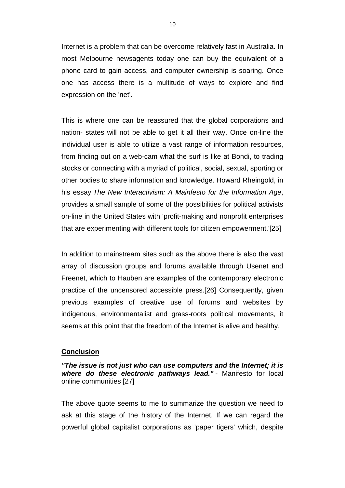Internet is a problem that can be overcome relatively fast in Australia. In most Melbourne newsagents today one can buy the equivalent of a phone card to gain access, and computer ownership is soaring. Once one has access there is a multitude of ways to explore and find expression on the 'net'.

This is where one can be reassured that the global corporations and nation- states will not be able to get it all their way. Once on-line the individual user is able to utilize a vast range of information resources, from finding out on a web-cam what the surf is like at Bondi, to trading stocks or connecting with a myriad of political, social, sexual, sporting or other bodies to share information and knowledge. Howard Rheingold, in his essay *The New Interactivism: A Mainfesto for the Information Age*, provides a small sample of some of the possibilities for political activists on-line in the United States with 'profit-making and nonprofit enterprises that are experimenting with different tools for citizen empowerment.'[25]

In addition to mainstream sites such as the above there is also the vast array of discussion groups and forums available through Usenet and Freenet, which to Hauben are examples of the contemporary electronic practice of the uncensored accessible press.[26] Consequently, given previous examples of creative use of forums and websites by indigenous, environmentalist and grass-roots political movements, it seems at this point that the freedom of the Internet is alive and healthy.

### **Conclusion**

*"The issue is not just who can use computers and the Internet; it is where do these electronic pathways lead."* - Manifesto for local online communities [27]

The above quote seems to me to summarize the question we need to ask at this stage of the history of the Internet. If we can regard the powerful global capitalist corporations as 'paper tigers' which, despite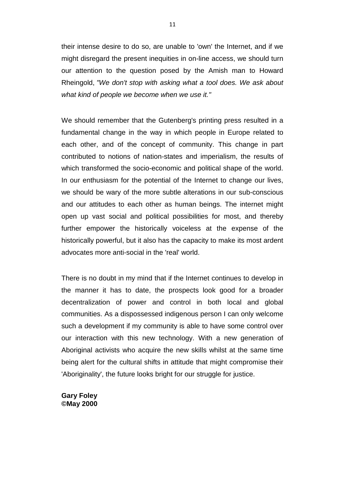their intense desire to do so, are unable to 'own' the Internet, and if we might disregard the present inequities in on-line access, we should turn our attention to the question posed by the Amish man to Howard Rheingold, *"We don't stop with asking what a tool does. We ask about what kind of people we become when we use it."*

We should remember that the Gutenberg's printing press resulted in a fundamental change in the way in which people in Europe related to each other, and of the concept of community. This change in part contributed to notions of nation-states and imperialism, the results of which transformed the socio-economic and political shape of the world. In our enthusiasm for the potential of the Internet to change our lives, we should be wary of the more subtle alterations in our sub-conscious and our attitudes to each other as human beings. The internet might open up vast social and political possibilities for most, and thereby further empower the historically voiceless at the expense of the historically powerful, but it also has the capacity to make its most ardent advocates more anti-social in the 'real' world.

There is no doubt in my mind that if the Internet continues to develop in the manner it has to date, the prospects look good for a broader decentralization of power and control in both local and global communities. As a dispossessed indigenous person I can only welcome such a development if my community is able to have some control over our interaction with this new technology. With a new generation of Aboriginal activists who acquire the new skills whilst at the same time being alert for the cultural shifts in attitude that might compromise their 'Aboriginality', the future looks bright for our struggle for justice.

**Gary Foley ©May 2000**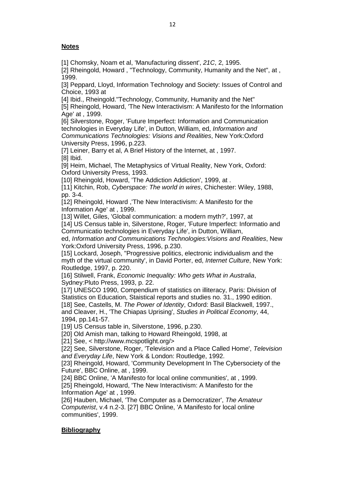## **Notes**

[1] Chomsky, Noam et al, 'Manufacturing dissent', *21C*, 2, 1995.

[2] Rheingold, Howard, "Technology, Community, Humanity and the Net", at, 1999.

[3] Peppard, Lloyd, Information Technology and Society: Issues of Control and Choice, 1993 at

[4] Ibid., Rheingold."Technology, Community, Humanity and the Net"

[5] Rheingold, Howard, 'The New Interactivism: A Manifesto for the Information Age' at , 1999.

[6] Silverstone, Roger, 'Future Imperfect: Information and Communication technologies in Everyday Life', in Dutton, William, ed, *Information and Communications Technologies: Visions and Realities*, New York:Oxford University Press, 1996, p.223.

[7] Leiner, Barry et al, A Brief History of the Internet, at, 1997. [8] Ibid.

[9] Heim, Michael, The Metaphysics of Virtual Reality, New York, Oxford: Oxford University Press, 1993.

[10] Rheingold, Howard, 'The Addiction Addiction', 1999, at.

[11] Kitchin, Rob, *Cyberspace: The world in wires*, Chichester: Wiley, 1988, pp. 3-4.

[12] Rheingold, Howard, 'The New Interactivism: A Manifesto for the Information Age' at , 1999.

[13] Willet, Giles, 'Global communication: a modern myth?', 1997, at

[14] US Census table in, Silverstone, Roger, 'Future Imperfect: Informatio and Communicatio technologies in Everyday Life', in Dutton, William,

ed, *Information and Communications Technologies:Visions and Realities*, New York:Oxford University Press, 1996, p.230.

[15] Lockard, Joseph, "Progressive politics, electronic individualism and the myth of the virtual community', in David Porter, ed, *Internet Culture*, New York: Routledge, 1997, p. 220.

[16] Stilwell, Frank, *Economic Inequality: Who gets What in Australia*, Sydney:Pluto Press, 1993, p. 22.

[17] UNESCO 1990, Compendium of statistics on illiteracy, Paris: Division of Statistics on Education, Staistical reports and studies no. 31., 1990 edition. [18] See, Castells, M. *The Power of Identity*, Oxford: Basil Blackwell, 1997., and Cleaver, H., 'The Chiapas Uprising', *Studies in Political Economy*, 44, 1994, pp.141-57.

[19] US Census table in, Silverstone, 1996, p.230.

[20] Old Amish man, talking to Howard Rheingold, 1998, at

[21] See, < http://www.mcspotlight.org/>

[22] See, Silverstone, Roger, 'Television and a Place Called Home', *Television and Everyday Life*, New York & London: Routledge, 1992.

[23] Rheingold, Howard, 'Community Development In The Cybersociety of the Future', BBC Online, at , 1999.

[24] BBC Online, 'A Manifesto for local online communities', at , 1999. [25] Rheingold, Howard, 'The New Interactivism: A Manifesto for the

Information Age' at , 1999.

[26] Hauben, Michael, 'The Computer as a Democratizer', *The Amateur Computerist*, v.4 n.2-3. [27] BBC Online, 'A Manifesto for local online communities', 1999.

## **Bibliography**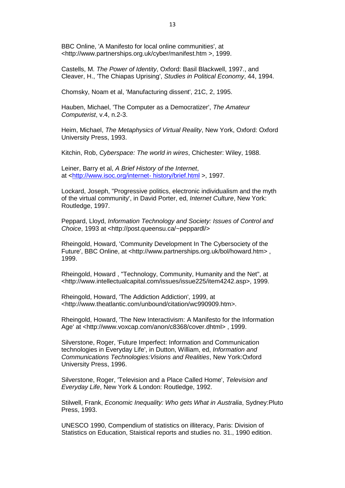BBC Online, 'A Manifesto for local online communities', at <http://www.partnerships.org.uk/cyber/manifest.htm >, 1999.

Castells, M. *The Power of Identity*, Oxford: Basil Blackwell, 1997., and Cleaver, H., 'The Chiapas Uprising', *Studies in Political Economy*, 44, 1994.

Chomsky, Noam et al, 'Manufacturing dissent', 21C, 2, 1995.

Hauben, Michael, 'The Computer as a Democratizer', *The Amateur Computerist*, v.4, n.2-3.

Heim, Michael, *The Metaphysics of Virtual Reality*, New York, Oxford: Oxford University Press, 1993.

Kitchin, Rob, *Cyberspace: The world in wires*, Chichester: Wiley, 1988.

Leiner, Barry et al, *A Brief History of the Internet*, at [<http://www.isoc.org/internet-](http://www.isoc.org/internet-%20history/brief.html) history/brief.html >, 1997.

Lockard, Joseph, "Progressive politics, electronic individualism and the myth of the virtual community', in David Porter, ed, *Internet Culture*, New York: Routledge, 1997.

Peppard, Lloyd, *Information Technology and Society: Issues of Control and Choice*, 1993 at <http://post.queensu.ca/~peppardl/>

Rheingold, Howard, 'Community Development In The Cybersociety of the Future', BBC Online, at <http://www.partnerships.org.uk/bol/howard.htm>. 1999.

Rheingold, Howard , "Technology, Community, Humanity and the Net", at <http://www.intellectualcapital.com/issues/issue225/item4242.asp>, 1999.

Rheingold, Howard, 'The Addiction Addiction', 1999, at <http://www.theatlantic.com/unbound/citation/wc990909.htm>.

Rheingold, Howard, 'The New Interactivism: A Manifesto for the Information Age' at <http://www.voxcap.com/anon/c8368/cover.dhtml> , 1999.

Silverstone, Roger, 'Future Imperfect: Information and Communication technologies in Everyday Life', in Dutton, William, ed, *Information and Communications Technologies:Visions and Realities*, New York:Oxford University Press, 1996.

Silverstone, Roger, 'Television and a Place Called Home', *Television and Everyday Life*, New York & London: Routledge, 1992.

Stilwell, Frank, *Economic Inequality: Who gets What in Australia*, Sydney:Pluto Press, 1993.

UNESCO 1990, Compendium of statistics on illiteracy, Paris: Division of Statistics on Education, Staistical reports and studies no. 31., 1990 edition.